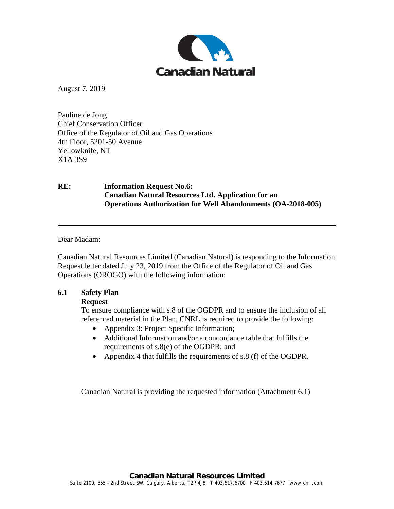

August 7, 2019

Pauline de Jong Chief Conservation Officer Office of the Regulator of Oil and Gas Operations 4th Floor, 5201-50 Avenue Yellowknife, NT X1A 3S9

# **RE: Information Request No.6: Canadian Natural Resources Ltd. Application for an Operations Authorization for Well Abandonments (OA-2018-005)**

Dear Madam:

Canadian Natural Resources Limited (Canadian Natural) is responding to the Information Request letter dated July 23, 2019 from the Office of the Regulator of Oil and Gas Operations (OROGO) with the following information:

### **6.1 Safety Plan**

### **Request**

To ensure compliance with s.8 of the OGDPR and to ensure the inclusion of all referenced material in the Plan, CNRL is required to provide the following:

- Appendix 3: Project Specific Information;
- Additional Information and/or a concordance table that fulfills the requirements of s.8(e) of the OGDPR; and
- Appendix 4 that fulfills the requirements of s.8 (f) of the OGDPR.

Canadian Natural is providing the requested information (Attachment 6.1)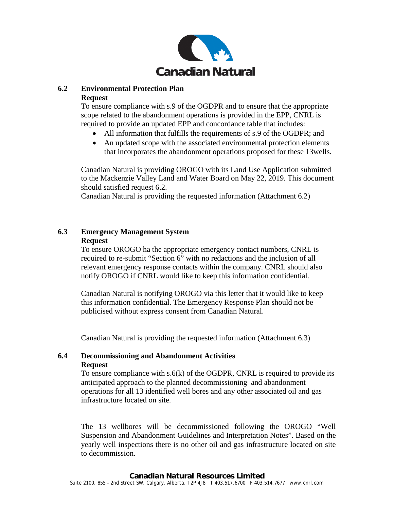

### **6.2 Environmental Protection Plan Request**

To ensure compliance with s.9 of the OGDPR and to ensure that the appropriate scope related to the abandonment operations is provided in the EPP, CNRL is required to provide an updated EPP and concordance table that includes:

- All information that fulfills the requirements of s.9 of the OGDPR; and
- An updated scope with the associated environmental protection elements that incorporates the abandonment operations proposed for these 13wells.

Canadian Natural is providing OROGO with its Land Use Application submitted to the Mackenzie Valley Land and Water Board on May 22, 2019. This document should satisfied request 6.2.

Canadian Natural is providing the requested information (Attachment 6.2)

## **6.3 Emergency Management System Request**

To ensure OROGO ha the appropriate emergency contact numbers, CNRL is required to re-submit "Section 6" with no redactions and the inclusion of all relevant emergency response contacts within the company. CNRL should also notify OROGO if CNRL would like to keep this information confidential.

Canadian Natural is notifying OROGO via this letter that it would like to keep this information confidential. The Emergency Response Plan should not be publicised without express consent from Canadian Natural.

Canadian Natural is providing the requested information (Attachment 6.3)

### **6.4 Decommissioning and Abandonment Activities Request**

To ensure compliance with  $s.6(k)$  of the OGDPR, CNRL is required to provide its anticipated approach to the planned decommissioning and abandonment operations for all 13 identified well bores and any other associated oil and gas infrastructure located on site.

The 13 wellbores will be decommissioned following the OROGO "Well Suspension and Abandonment Guidelines and Interpretation Notes". Based on the yearly well inspections there is no other oil and gas infrastructure located on site to decommission.